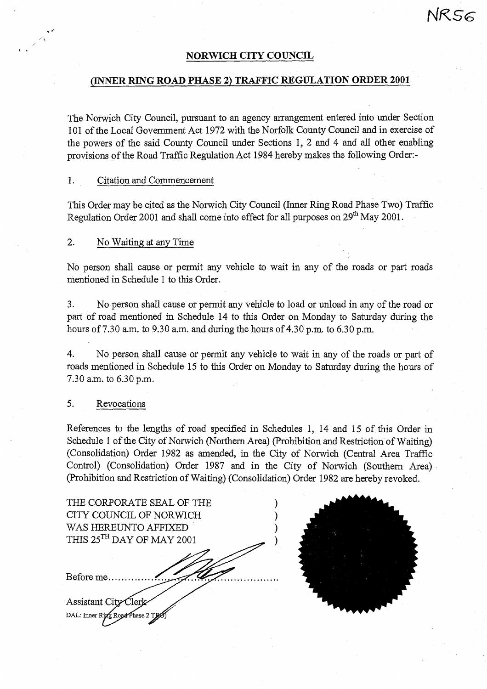# NR 56-

# NORWICH CITY COUNCIL

# (INNER RING ROAD PHASE 2) TRAFFIC REGULATION ORDER 2001

The Norwich City Council, pursuant to an agency arrangement entered into under Section 101 of the Local Government Act 1972 with the Norfolk County Council and in exercise of the powers of the said County Council under Sections 1, 2 and 4 and all other enabling provisions of the Road Traffic Regulation Act 1984 hereby makes the following Order:-

# 1. Citation and Commencement

 $\geq_1$ 

This Order may be cited as the Norwich City Council (Inner Ring Road Phase Two) Traffic Regulation Order 2001 and shall come into effect for all purposes on  $29^{th}$  May 2001.

#### 2. No Waiting at any Time

No person shall cause or permit any vehicle to wait in any of the roads or part roads mentioned in Schedule 1 to this Order.

3. No person shall cause or permit any vehicle to load or unload in any of the road or part of road mentioned in Schedule 14 to this Order on Monday to Saturday during the hours of 7.30 a.m. to 9.30 a.m. and during the hours of 4.30 p.m. to 6.30 p.m.

4. No person shall cause or permit any vehicle to wait in any of the roads or part of roads mentioned in Schedule 15 to this Order on Monday to Saturday during the hours of 7.30 a.m. to 6.30 p.m.

# 5. Revocations

References to the lengths of road specified in Schedules 1, 14 and 15 of this Order in Schedule 1 of the City of Norwich (Northern Area) (Prohibition and Restriction of Waiting) (Consolidation) Order 1982 as amended, in the City of Norwich (Central Area Traffic Control) (Consolidation) Order 1987 and in the City of Norwich (Southern Area) (Prohibition and Restriction of Waiting) (Consolidation) Order 1982 are hereby revoked.

THE CORPORATE SEAL OF THE CITY COUNCIL OF NORWICH WAS HEREUNTO AFFIXED THIS 25<sup>TH</sup> DAY OF MAY 2001 Before me Assistant City Clerk DAL: Inner Ring Road Phase 2 T

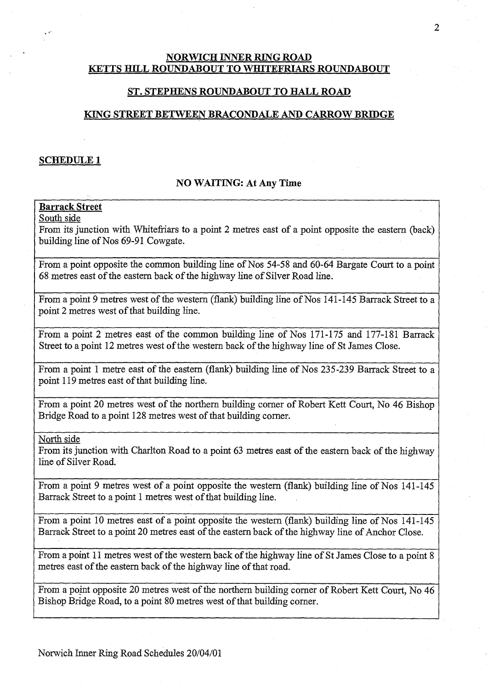# **NORWICH INNER RING ROAD KETTS HILL ROUNDABOUT TO WHITEFRIARS ROUNDABOUT**

#### **ST. STEPHENS ROUNDABOUT TO HALL ROAD**

#### **KING STREET BETWEEN BRACONDALE AND CARROW BRIDGE**

#### **SCHEDULE 1**

#### **NO WAITING: At Any Time**

# **Barrack Street**

South side

From its junction with Whitefriars to a point 2 metres east of a point opposite the eastern (back) building line of Nos 69-91 Cowgate.

From a point opposite the common building line of Nos 54-58 and 60-64 Bargate Court to a point 68 metres east of the eastern back of the highway line of Silver Road line.

From a point 9 metres west of the western (flank) building line of Nos 141-145 Barrack Street to a point 2 metres west of that building line.

From a point 2 metres east of the common building line of Nos 171-175 and 177-181 Barrack Street to a point 12 metres west of the western back of the highway line of St James Close.

From a point 1 metre east of the eastern (flank) building line of Nos 235-239 Barrack Street to a point 119 metres east of that building line.

From a point 20 metres west of the northern building corner of Robert Kett Court, No 46 Bishop Bridge Road to a point 128 metres west of that building corner.

North side

From its junction with Charlton Road to a point 63 metres east of the eastern back of the highway line of Silver Road.

From a point 9 metres west of a point opposite the western (flank) building line of Nos 141-145 Barrack Street to a point 1 metres west of that building line.

From a point 10 metres east of a point opposite the western (flank) building line of Nos 141-145 Barrack Street to a point 20 metres east of the eastern back of the highway line of Anchor Close.

From a point 11 metres west of the western back of the highway line of St James Close to a point 8 metres east of the eastern back of the highway line of that road.

From a point opposite 20 metres west of the northern building corner of Robert Kett Court, No 46 Bishop Bridge Road, to a point 80 metres west of that building corner.

Norwich Inner Ring Road Schedules 20/04/01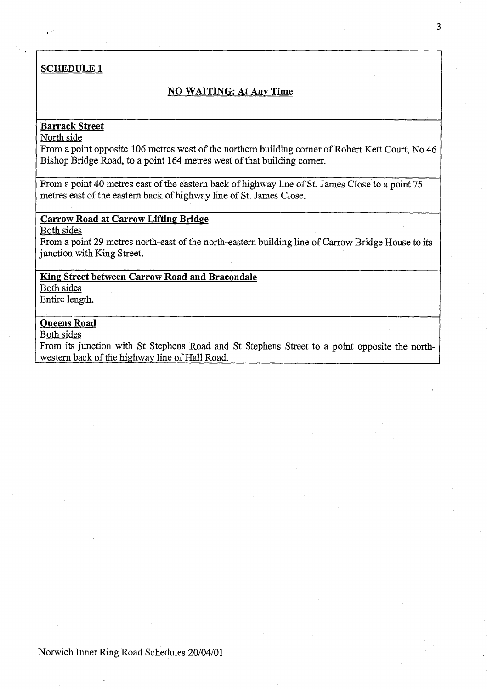# **SCHEDULE 1**

### **NO WAITING: At Any Time**

#### **Barrack Street**

North side

From a point opposite 106 metres west of the northern building corner of Robert Kett Court, No 46 Bishop Bridge Road, to a point 164 metres west of that building corner.

From a point 40 metres east of the eastern back of highway line of St. James Close to a point 75 metres east of the eastern back of highway line of St. James Close.

# **Carrow Road at Carrow Lifting Bridge**

Both sides

From a point 29 metres north-east of the north-eastern building line of Carrow Bridge House to its junction with King Street.

# **King Street between Carrow Road and Bracondale**

Both sides

Entire length.

# **Queens Road**

Both sides

From its junction with St Stephens Road and St Stephens Street to a point opposite the northwestern back of the highway line of Hall Road.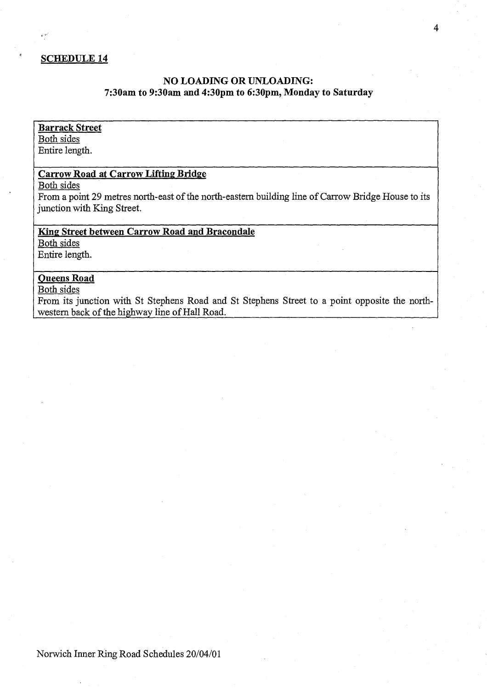## **SCHEDULE 14**

# **NO LOADING OR UNLOADING: 7:30am to 9:30am and 4:30pm to 6:30pm, Monday to Saturday**

**Barrack Street**  Both sides Entire length.

# **Carrow Road at Carrow Lifting Bridge**

Both sides

From a point 29 metres north-east of the north-eastern building line of Carrow Bridge House to its junction with King Street.

# **King Street between Carrow Road and Bracondale**

Both sides Entire length.

# **Queens Road**

Both sides

From its junction with St Stephens Road and St Stephens Street to a point opposite the northwestern back of the highway line of Hall Road.